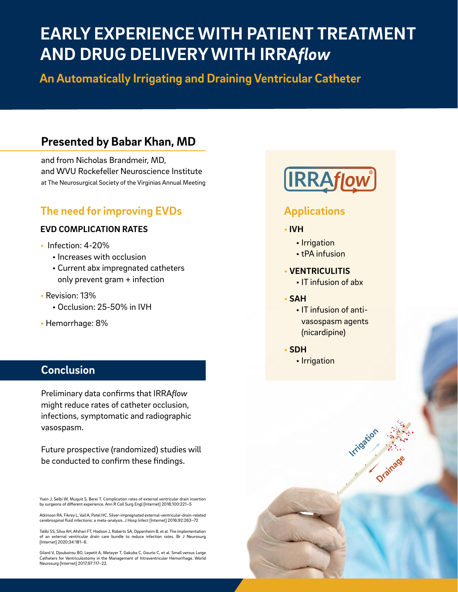# **EARLY EXPERIENCE WITH PATIENT TREATMENT AND DRUG DELIVERY WITH IRRA***flow*

**An Automatically Irrigating and Draining Ventricular Catheter**

## **Presented by Babar Khan, MD**

and from Nicholas Brandmeir, MD, and WVU Rockefeller Neuroscience Institute at The Neurosurgical Society of the Virginias Annual Meeting

## **The need for improving EVDs**

#### **EVD COMPLICATION RATES**

- Infection: 4-20%
	- Increases with occlusion
		- Current abx impregnated catheters only prevent gram + infection
- Revision: 13%
	- Occlusion: 25-50% in IVH
- Hemorrhage: 8%

### **Conclusion**

Preliminary data confirms that IRRA*flow* might reduce rates of catheter occlusion, infections, symptomatic and radiographic vasospasm.

Future prospective (randomized) studies will be conducted to confirm these findings.

Yuen J, Selbi W, Muquit S, Berei T. Complication rates of external ventricular drain insertion by surgeons of different experience. Ann R Coll Surg Engl [Internet] 2018;100:221–5

Atkinson RA, Fikrey L, Vail A, Patel HC. Silver-impregnated external-ventricular-drain-related cerebrospinal fluid infections: a meta-analysis. J Hosp Infect [Internet] 2016;92:263–72

Talibi SS, Silva AH, Afshari FT, Hodson J, Roberts SA, Oppenheim B, et al. The implementation of an external ventricular drain care bundle to reduce infection rates. Br J Neurosurg [Internet] 2020;34:181–6.

Gilard V, Djoubairou BO, Lepetit A, Metayer T, Gakuba C, Gourio C, et al. Small versus Large Catheters for Ventriculostomy in the Management of Intraventricular Hemorrhage. World Neurosurg [Internet] 2017;97:117–22.



### **Applications**

#### • **IVH**

- Irrigation
- tPA infusion

#### • **VENTRICULITIS**

- IT infusion of abx
- **SAH**
	- IT infusion of antivasospasm agents (nicardipine)

**Irrigation** 

**Drainage**

- **SDH**
	- Irrigation